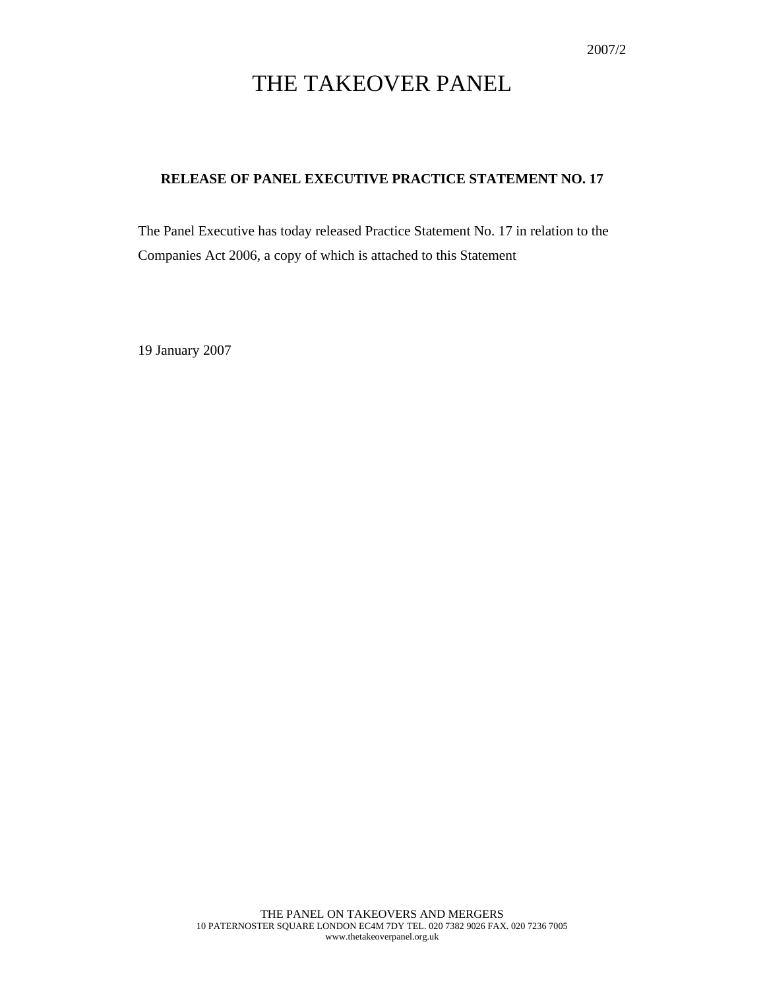# THE TAKEOVER PANEL

### **RELEASE OF PANEL EXECUTIVE PRACTICE STATEMENT NO. 17**

The Panel Executive has today released Practice Statement No. 17 in relation to the Companies Act 2006, a copy of which is attached to this Statement

19 January 2007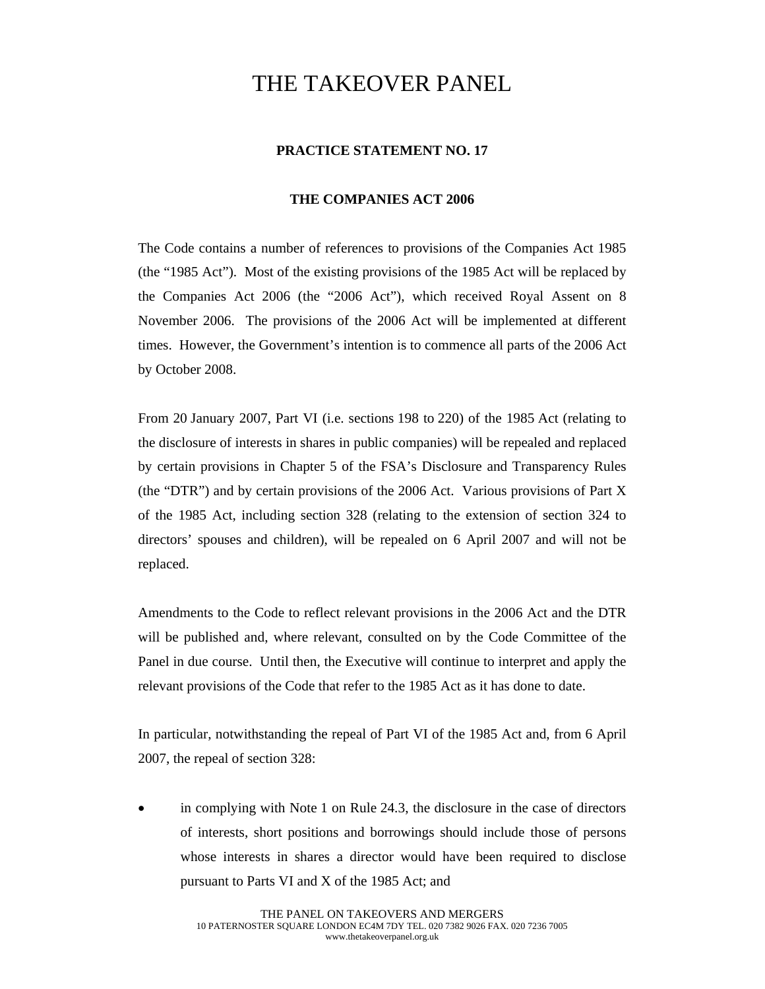## THE TAKEOVER PANEL

### **PRACTICE STATEMENT NO. 17**

#### **THE COMPANIES ACT 2006**

The Code contains a number of references to provisions of the Companies Act 1985 (the "1985 Act"). Most of the existing provisions of the 1985 Act will be replaced by the Companies Act 2006 (the "2006 Act"), which received Royal Assent on 8 November 2006. The provisions of the 2006 Act will be implemented at different times. However, the Government's intention is to commence all parts of the 2006 Act by October 2008.

From 20 January 2007, Part VI (i.e. sections 198 to 220) of the 1985 Act (relating to the disclosure of interests in shares in public companies) will be repealed and replaced by certain provisions in Chapter 5 of the FSA's Disclosure and Transparency Rules (the "DTR") and by certain provisions of the 2006 Act. Various provisions of Part X of the 1985 Act, including section 328 (relating to the extension of section 324 to directors' spouses and children), will be repealed on 6 April 2007 and will not be replaced.

Amendments to the Code to reflect relevant provisions in the 2006 Act and the DTR will be published and, where relevant, consulted on by the Code Committee of the Panel in due course. Until then, the Executive will continue to interpret and apply the relevant provisions of the Code that refer to the 1985 Act as it has done to date.

In particular, notwithstanding the repeal of Part VI of the 1985 Act and, from 6 April 2007, the repeal of section 328:

in complying with Note 1 on Rule 24.3, the disclosure in the case of directors of interests, short positions and borrowings should include those of persons whose interests in shares a director would have been required to disclose pursuant to Parts VI and X of the 1985 Act; and